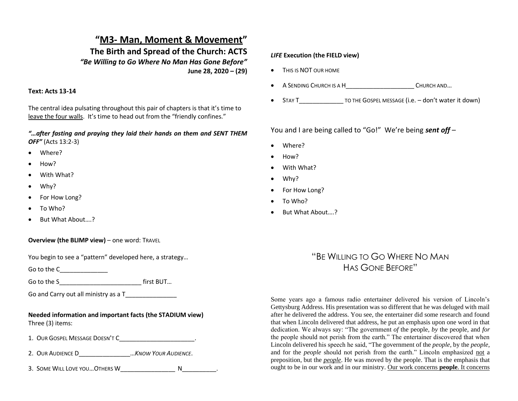## **"M3- Man, Moment & Movement" The Birth and Spread of the Church: ACTS** *"Be Willing to Go Where No Man Has Gone Before"*  **June 28, 2020 – (29)**

## **Text: Acts 13-14**

The central idea pulsating throughout this pair of chapters is that it's time to leave the four walls. It's time to head out from the "friendly confines."

*"…after fasting and praying they laid their hands on them and SENT THEM OFF"* (Acts 13:2-3)

- Where?
- How?
- With What?
- Why?
- For How Long?
- To Who?
- But What About....?
- **Overview (the BLIMP view)** one word: TRAVEL

You begin to see a "pattern" developed here, a strategy…

Go to the C

Go to the S\_\_\_\_\_\_\_\_\_\_\_\_\_\_\_\_\_\_\_\_\_\_\_\_ first BUT…

Go and Carry out all ministry as a T\_\_\_\_\_\_\_\_\_\_\_\_\_\_\_

**Needed information and important facts (the STADIUM view)** Three (3) items:

- 1. OUR GOSPEL MESSAGE DOESN'T C
- 2. OUR AUDIENCE D\_\_\_\_\_\_\_\_\_\_\_\_\_\_\_…*KNOW YOUR AUDIENCE*.
- 3. SOME WILL LOVE YOU... OTHERS W THERE WILL ALL AND THE RESIDENCE RESIDENCE.

## *LIFE* **Execution (the FIELD view)**

- THIS IS NOT OUR HOME
- A SENDING CHURCH IS A H\_\_\_\_\_\_\_\_\_\_\_\_\_\_\_\_\_\_\_\_ CHURCH AND…
- STAY T TO THE GOSPEL MESSAGE (i.e. don't water it down)

You and I are being called to "Go!" We're being *sent off* –

- Where?
- How?
- With What?
- Why?
- For How Long?
- To Who?
- But What About...?

## "BE WILLING TO GO WHERE NO MAN HAS GONE BEFORE"

Some years ago a famous radio entertainer delivered his version of Lincoln's Gettysburg Address. His presentation was so different that he was deluged with mail after he delivered the address. You see, the entertainer did some research and found that when Lincoln delivered that address, he put an emphasis upon one word in that dedication. We always say: "The government *of* the people, *by* the people, and *for* the people should not perish from the earth." The entertainer discovered that when Lincoln delivered his speech he said, "The government of the *people*, by the *people*, and for the *people* should not perish from the earth." Lincoln emphasized not a preposition, but the *people*. He was moved by the people. That is the emphasis that ought to be in our work and in our ministry. Our work concerns **people**. It concerns